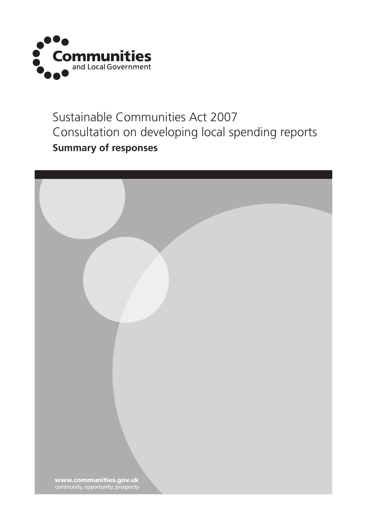

### Sustainable Communities Act 2007 Consultation on developing local spending reports **Summary of responses**

| www.communities.gov.uk<br>community, opportunity, prosperity |  |
|--------------------------------------------------------------|--|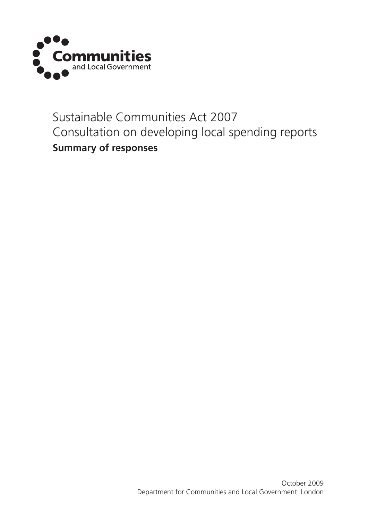

### Sustainable Communities Act 2007 Consultation on developing local spending reports **Summary of responses**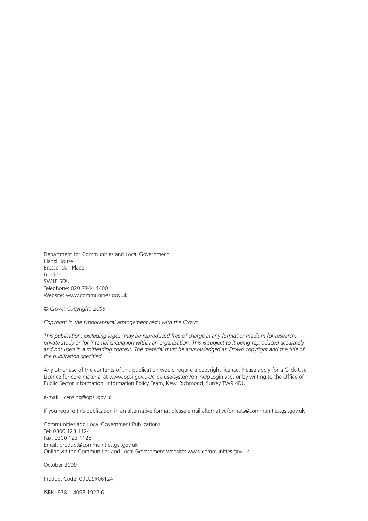Department for Communities and Local Government Eland House Bressenden Place London SW1E 5DU Telephone: 020 7944 4400 Website: www.communities.gov.uk

© *Crown Copyright, 2009*

*Copyright in the typographical arrangement rests with the Crown.*

*This publication, excluding logos, may be reproduced free of charge in any format or medium for research,* private study or for internal circulation within an organisation. This is subject to it being reproduced accurately and not used in a misleading context. The material must be acknowledged as Crown copyright and the title of *the publication specified.*

Any other use of the contents of this publication would require a copyright licence. Please apply for a Click-Use Licence for core material at www.opsi.gov.uk/click-use/system/online/pLogin.asp, or by writing to the Office of Public Sector Information, Information Policy Team, Kew, Richmond, Surrey TW9 4DU

e-mail: licensing@opsi.gov.uk

If you require this publication in an alternative format please email alternativeformats@communities.gsi.gov.uk

Communities and Local Government Publications Tel: 0300 123 1124 Fax: 0300 123 1125 Email: product@communities.gsi.gov.uk Online via the Communities and Local Government website: www.communities.gov.uk

October 2009

Product Code: 09LGSR06124

ISBN: 978 1 4098 1922 6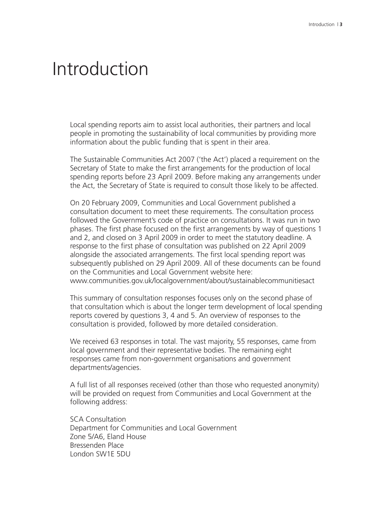## Introduction

Local spending reports aim to assist local authorities, their partners and local people in promoting the sustainability of local communities by providing more information about the public funding that is spent in their area.

The Sustainable Communities Act 2007 ('the Act') placed a requirement on the Secretary of State to make the first arrangements for the production of local spending reports before 23 April 2009. Before making any arrangements under the Act, the Secretary of State is required to consult those likely to be affected.

On 20 February 2009, Communities and Local Government published a consultation document to meet these requirements. The consultation process followed the Government's code of practice on consultations. It was run in two phases. The first phase focused on the first arrangements by way of questions 1 and 2, and closed on 3 April 2009 in order to meet the statutory deadline. A response to the first phase of consultation was published on 22 April 2009 alongside the associated arrangements. The first local spending report was subsequently published on 29 April 2009. All of these documents can be found on the Communities and Local Government website here:

www.communities.gov.uk/localgovernment/about/sustainablecommunitiesact

This summary of consultation responses focuses only on the second phase of that consultation which is about the longer term development of local spending reports covered by questions 3, 4 and 5. An overview of responses to the consultation is provided, followed by more detailed consideration.

We received 63 responses in total. The vast majority, 55 responses, came from local government and their representative bodies. The remaining eight responses came from non-government organisations and government departments/agencies.

A full list of all responses received (other than those who requested anonymity) will be provided on request from Communities and Local Government at the following address:

SCA Consultation Department for Communities and Local Government Zone 5/A6, Eland House Bressenden Place London SW1E 5DU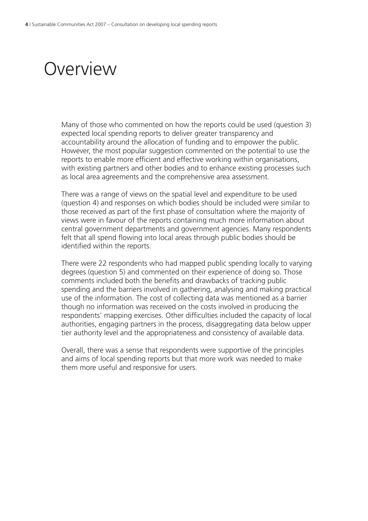## Overview

Many of those who commented on how the reports could be used (question 3) expected local spending reports to deliver greater transparency and accountability around the allocation of funding and to empower the public. However, the most popular suggestion commented on the potential to use the reports to enable more efficient and effective working within organisations, with existing partners and other bodies and to enhance existing processes such as local area agreements and the comprehensive area assessment.

There was a range of views on the spatial level and expenditure to be used (question 4) and responses on which bodies should be included were similar to those received as part of the first phase of consultation where the majority of views were in favour of the reports containing much more information about central government departments and government agencies. Many respondents felt that all spend flowing into local areas through public bodies should be identified within the reports.

There were 22 respondents who had mapped public spending locally to varying degrees (question 5) and commented on their experience of doing so. Those comments included both the benefits and drawbacks of tracking public spending and the barriers involved in gathering, analysing and making practical use of the information. The cost of collecting data was mentioned as a barrier though no information was received on the costs involved in producing the respondents' mapping exercises. Other difficulties included the capacity of local authorities, engaging partners in the process, disaggregating data below upper tier authority level and the appropriateness and consistency of available data.

Overall, there was a sense that respondents were supportive of the principles and aims of local spending reports but that more work was needed to make them more useful and responsive for users.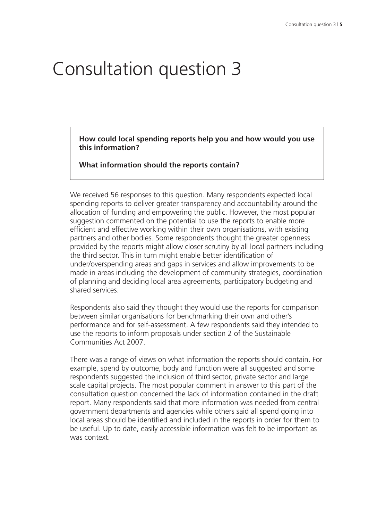# Consultation question 3

**How could local spending reports help you and how would you use this information?**

**What information should the reports contain?**

We received 56 responses to this question. Many respondents expected local spending reports to deliver greater transparency and accountability around the allocation of funding and empowering the public. However, the most popular suggestion commented on the potential to use the reports to enable more efficient and effective working within their own organisations, with existing partners and other bodies. Some respondents thought the greater openness provided by the reports might allow closer scrutiny by all local partners including the third sector. This in turn might enable better identification of under/overspending areas and gaps in services and allow improvements to be made in areas including the development of community strategies, coordination of planning and deciding local area agreements, participatory budgeting and shared services.

Respondents also said they thought they would use the reports for comparison between similar organisations for benchmarking their own and other's performance and for self-assessment. A few respondents said they intended to use the reports to inform proposals under section 2 of the Sustainable Communities Act 2007.

There was a range of views on what information the reports should contain. For example, spend by outcome, body and function were all suggested and some respondents suggested the inclusion of third sector, private sector and large scale capital projects. The most popular comment in answer to this part of the consultation question concerned the lack of information contained in the draft report. Many respondents said that more information was needed from central government departments and agencies while others said all spend going into local areas should be identified and included in the reports in order for them to be useful. Up to date, easily accessible information was felt to be important as was context.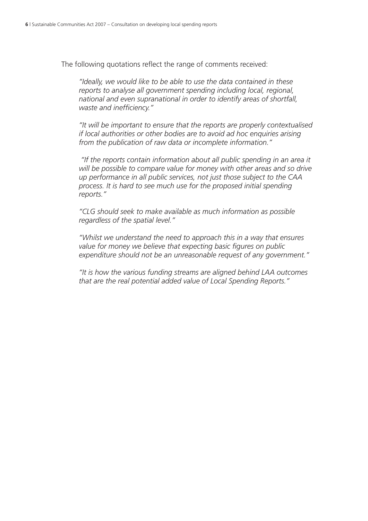The following quotations reflect the range of comments received:

*"Ideally, we would like to be able to use the data contained in these reports to analyse all government spending including local, regional, national and even supranational in order to identify areas of shortfall, waste and inefficiency."*

*"It will be important to ensure that the reports are properly contextualised if local authorities or other bodies are to avoid ad hoc enquiries arising from the publication of raw data or incomplete information."*

*"If the reports contain information about all public spending in an area it will be possible to compare value for money with other areas and so drive up performance in all public services, not just those subject to the CAA process. It is hard to see much use for the proposed initial spending reports."*

*"CLG should seek to make available as much information as possible regardless of the spatial level."*

*"Whilst we understand the need to approach this in a way that ensures value for money we believe that expecting basic figures on public expenditure should not be an unreasonable request of any government."*

*"It is how the various funding streams are aligned behind LAA outcomes that are the real potential added value of Local Spending Reports."*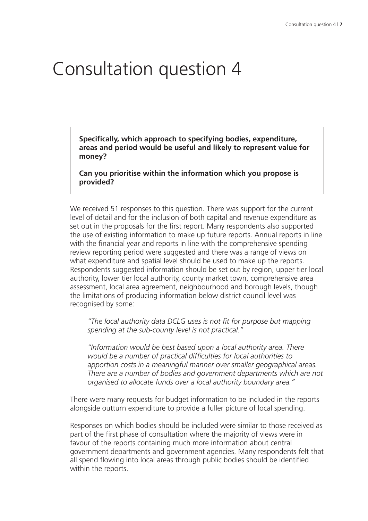## Consultation question 4

**Specifically, which approach to specifying bodies, expenditure, areas and period would be useful and likely to represent value for money?**

**Can you prioritise within the information which you propose is provided?**

We received 51 responses to this question. There was support for the current level of detail and for the inclusion of both capital and revenue expenditure as set out in the proposals for the first report. Many respondents also supported the use of existing information to make up future reports. Annual reports in line with the financial year and reports in line with the comprehensive spending review reporting period were suggested and there was a range of views on what expenditure and spatial level should be used to make up the reports. Respondents suggested information should be set out by region, upper tier local authority, lower tier local authority, county market town, comprehensive area assessment, local area agreement, neighbourhood and borough levels, though the limitations of producing information below district council level was recognised by some:

*"The local authority data DCLG uses is not fit for purpose but mapping spending at the sub-county level is not practical."*

*"Information would be best based upon a local authority area. There would be a number of practical difficulties for local authorities to apportion costs in a meaningful manner over smaller geographical areas. There are a number of bodies and government departments which are not organised to allocate funds over a local authority boundary area."*

There were many requests for budget information to be included in the reports alongside outturn expenditure to provide a fuller picture of local spending.

Responses on which bodies should be included were similar to those received as part of the first phase of consultation where the majority of views were in favour of the reports containing much more information about central government departments and government agencies. Many respondents felt that all spend flowing into local areas through public bodies should be identified within the reports.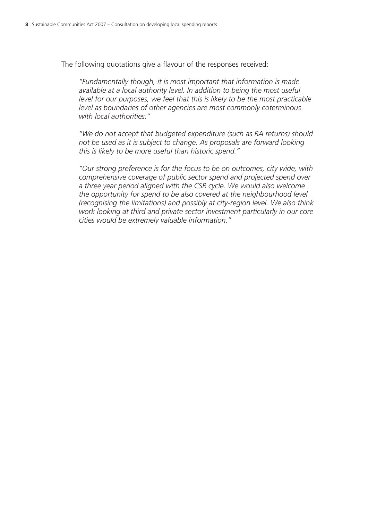The following quotations give a flavour of the responses received:

*"Fundamentally though, it is most important that information is made available at a local authority level. In addition to being the most useful level for our purposes, we feel that this is likely to be the most practicable level as boundaries of other agencies are most commonly coterminous with local authorities."*

*"We do not accept that budgeted expenditure (such as RA returns) should not be used as it is subject to change. As proposals are forward looking this is likely to be more useful than historic spend."*

*"Our strong preference is for the focus to be on outcomes, city wide, with comprehensive coverage of public sector spend and projected spend over a three year period aligned with the CSR cycle. We would also welcome the opportunity for spend to be also covered at the neighbourhood level (recognising the limitations) and possibly at city-region level. We also think work looking at third and private sector investment particularly in our core cities would be extremely valuable information."*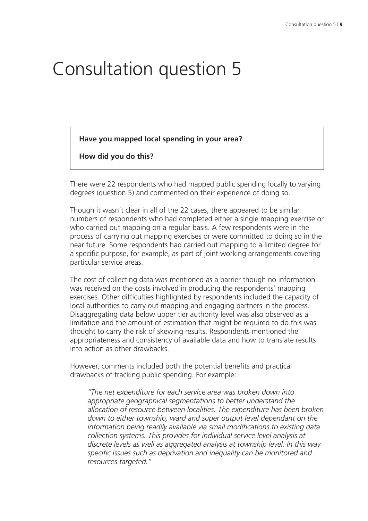# Consultation question 5

**Have you mapped local spending in your area?**

**How did you do this?**

There were 22 respondents who had mapped public spending locally to varying degrees (question 5) and commented on their experience of doing so.

Though it wasn't clear in all of the 22 cases, there appeared to be similar numbers of respondents who had completed either a single mapping exercise or who carried out mapping on a regular basis. A few respondents were in the process of carrying out mapping exercises or were committed to doing so in the near future. Some respondents had carried out mapping to a limited degree for a specific purpose, for example, as part of joint working arrangements covering particular service areas.

The cost of collecting data was mentioned as a barrier though no information was received on the costs involved in producing the respondents' mapping exercises. Other difficulties highlighted by respondents included the capacity of local authorities to carry out mapping and engaging partners in the process. Disaggregating data below upper tier authority level was also observed as a limitation and the amount of estimation that might be required to do this was thought to carry the risk of skewing results. Respondents mentioned the appropriateness and consistency of available data and how to translate results into action as other drawbacks.

However, comments included both the potential benefits and practical drawbacks of tracking public spending. For example:

*"The net expenditure for each service area was broken down into appropriate geographical segmentations to better understand the allocation of resource between localities. The expenditure has been broken down to either township, ward and super output level dependant on the information being readily available via small modifications to existing data collection systems. This provides for individual service level analysis at discrete levels as well as aggregated analysis at township level. In this way specific issues such as deprivation and inequality can be monitored and resources targeted."*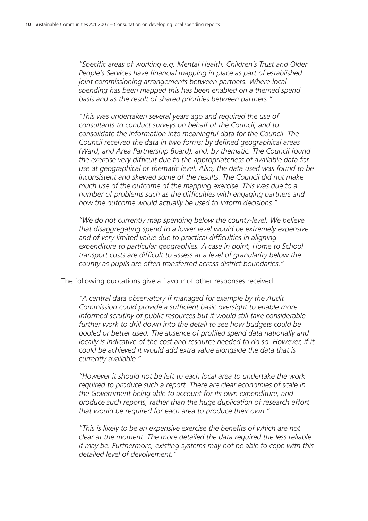*"Specific areas of working e.g. Mental Health, Children's Trust and Older People's Services have financial mapping in place as part of established joint commissioning arrangements between partners. Where local spending has been mapped this has been enabled on a themed spend basis and as the result of shared priorities between partners."*

*"This was undertaken several years ago and required the use of consultants to conduct surveys on behalf of the Council, and to consolidate the information into meaningful data for the Council. The Council received the data in two forms: by defined geographical areas (Ward, and Area Partnership Board); and, by thematic. The Council found the exercise very difficult due to the appropriateness of available data for use at geographical or thematic level. Also, the data used was found to be inconsistent and skewed some of the results. The Council did not make much use of the outcome of the mapping exercise. This was due to a number of problems such as the difficulties with engaging partners and how the outcome would actually be used to inform decisions."*

*"We do not currently map spending below the county-level. We believe that disaggregating spend to a lower level would be extremely expensive and of very limited value due to practical difficulties in aligning expenditure to particular geographies. A case in point, Home to School transport costs are difficult to assess at a level of granularity below the county as pupils are often transferred across district boundaries."*

The following quotations give a flavour of other responses received:

*"A central data observatory if managed for example by the Audit Commission could provide a sufficient basic oversight to enable more informed scrutiny of public resources but it would still take considerable further work to drill down into the detail to see how budgets could be pooled or better used. The absence of profiled spend data nationally and locally is indicative of the cost and resource needed to do so. However, if it could be achieved it would add extra value alongside the data that is currently available."*

*"However it should not be left to each local area to undertake the work required to produce such a report. There are clear economies of scale in the Government being able to account for its own expenditure, and produce such reports, rather than the huge duplication of research effort that would be required for each area to produce their own."*

*"This is likely to be an expensive exercise the benefits of which are not clear at the moment. The more detailed the data required the less reliable it may be. Furthermore, existing systems may not be able to cope with this detailed level of devolvement."*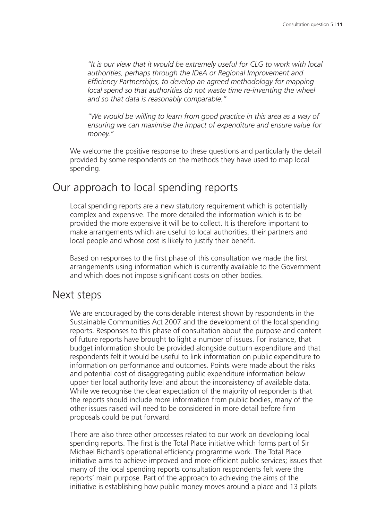*"It is our view that it would be extremely useful for CLG to work with local authorities, perhaps through the IDeA or Regional Improvement and Efficiency Partnerships, to develop an agreed methodology for mapping local spend so that authorities do not waste time re-inventing the wheel and so that data is reasonably comparable."*

*"We would be willing to learn from good practice in this area as a way of ensuring we can maximise the impact of expenditure and ensure value for money."*

We welcome the positive response to these questions and particularly the detail provided by some respondents on the methods they have used to map local spending.

#### Our approach to local spending reports

Local spending reports are a new statutory requirement which is potentially complex and expensive. The more detailed the information which is to be provided the more expensive it will be to collect. It is therefore important to make arrangements which are useful to local authorities, their partners and local people and whose cost is likely to justify their benefit.

Based on responses to the first phase of this consultation we made the first arrangements using information which is currently available to the Government and which does not impose significant costs on other bodies.

#### Next steps

We are encouraged by the considerable interest shown by respondents in the Sustainable Communities Act 2007 and the development of the local spending reports. Responses to this phase of consultation about the purpose and content of future reports have brought to light a number of issues. For instance, that budget information should be provided alongside outturn expenditure and that respondents felt it would be useful to link information on public expenditure to information on performance and outcomes. Points were made about the risks and potential cost of disaggregating public expenditure information below upper tier local authority level and about the inconsistency of available data. While we recognise the clear expectation of the majority of respondents that the reports should include more information from public bodies, many of the other issues raised will need to be considered in more detail before firm proposals could be put forward.

There are also three other processes related to our work on developing local spending reports. The first is the Total Place initiative which forms part of Sir Michael Bichard's operational efficiency programme work. The Total Place initiative aims to achieve improved and more efficient public services; issues that many of the local spending reports consultation respondents felt were the reports' main purpose. Part of the approach to achieving the aims of the initiative is establishing how public money moves around a place and 13 pilots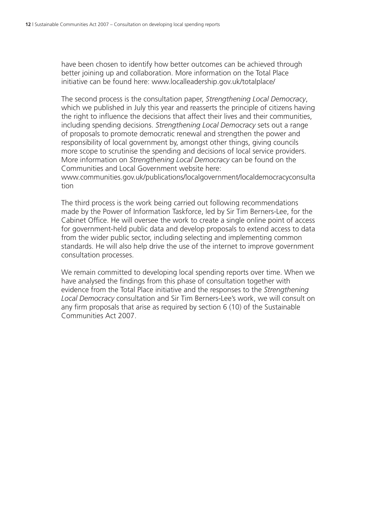have been chosen to identify how better outcomes can be achieved through better joining up and collaboration. More information on the Total Place initiative can be found here: www.localleadership.gov.uk/totalplace/

The second process is the consultation paper, *Strengthening Local Democracy*, which we published in July this year and reasserts the principle of citizens having the right to influence the decisions that affect their lives and their communities, including spending decisions. *Strengthening Local Democracy* sets out a range of proposals to promote democratic renewal and strengthen the power and responsibility of local government by, amongst other things, giving councils more scope to scrutinise the spending and decisions of local service providers. More information on *Strengthening Local Democracy* can be found on the Communities and Local Government website here:

www.communities.gov.uk/publications/localgovernment/localdemocracyconsulta tion

The third process is the work being carried out following recommendations made by the Power of Information Taskforce, led by Sir Tim Berners-Lee, for the Cabinet Office. He will oversee the work to create a single online point of access for government-held public data and develop proposals to extend access to data from the wider public sector, including selecting and implementing common standards. He will also help drive the use of the internet to improve government consultation processes.

We remain committed to developing local spending reports over time. When we have analysed the findings from this phase of consultation together with evidence from the Total Place initiative and the responses to the *Strengthening Local Democracy* consultation and Sir Tim Berners-Lee's work, we will consult on any firm proposals that arise as required by section 6 (10) of the Sustainable Communities Act 2007.